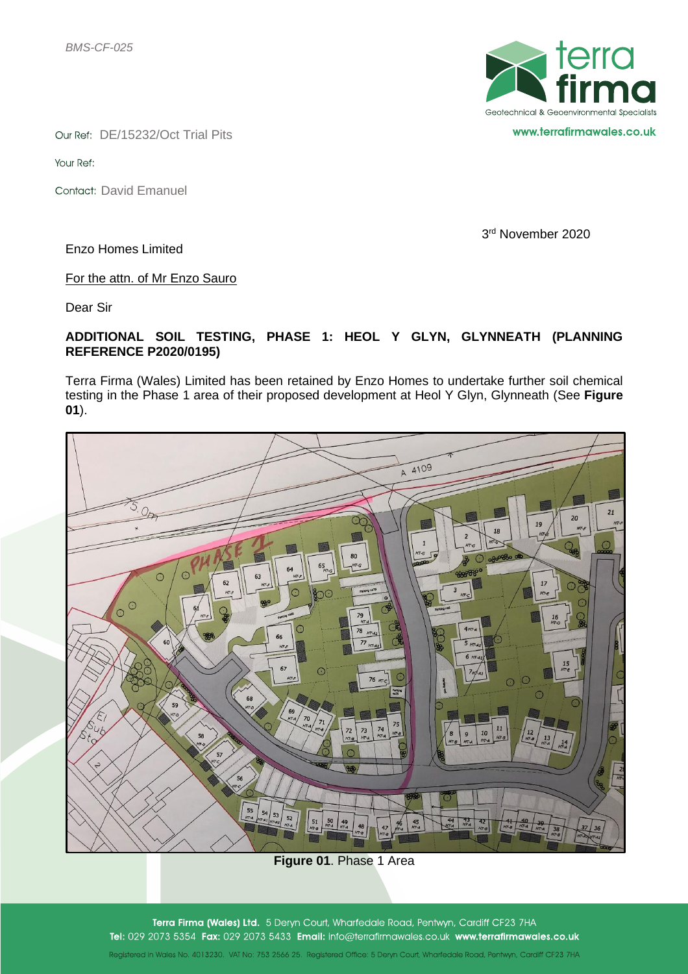*BMS-CF-025*



Our Ref: DE/15232/Oct Trial Pits

Your Ref:

Contact: David Emanuel

3 rd November 2020

Enzo Homes Limited

For the attn. of Mr Enzo Sauro

Dear Sir

### **ADDITIONAL SOIL TESTING, PHASE 1: HEOL Y GLYN, GLYNNEATH (PLANNING REFERENCE P2020/0195)**

Terra Firma (Wales) Limited has been retained by Enzo Homes to undertake further soil chemical testing in the Phase 1 area of their proposed development at Heol Y Glyn, Glynneath (See **Figure 01**).



**Figure 01**. Phase 1 Area

Terra Firma (Wales) Ltd. 5 Deryn Court, Wharfedale Road, Pentwyn, Cardiff CF23 7HA Tel: 029 2073 5354 Fax: 029 2073 5433 Email: info@terrafirmawales.co.uk www.terrafirmawales.co.uk

Registered in Wales No. 4013230. VAT No: 753 2566 25. Registered Office: 5 Deryn Court, Wharfedale Road, Pentwyn, Cardiff CF23 7HA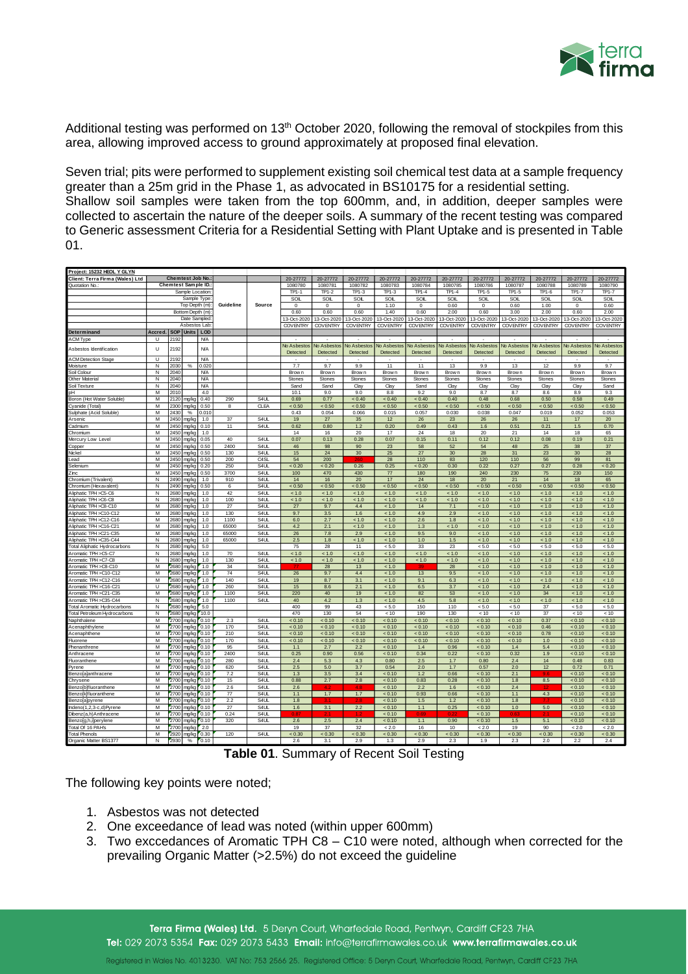

Additional testing was performed on 13<sup>th</sup> October 2020, following the removal of stockpiles from this area, allowing improved access to ground approximately at proposed final elevation.

Seven trial; pits were performed to supplement existing soil chemical test data at a sample frequency greater than a 25m grid in the Phase 1, as advocated in BS10175 for a residential setting. Shallow soil samples were taken from the top 600mm, and, in addition, deeper samples were collected to ascertain the nature of the deeper soils. A summary of the recent testing was compared to Generic assessment Criteria for a Residential Setting with Plant Uptake and is presented in Table 01.

| Project: 15232 HEOL Y GLYN          |               |      |                      |            |          |                   |                    |                    |                 |                 |                 |                 |                    |                 |                    |                 |                    |
|-------------------------------------|---------------|------|----------------------|------------|----------|-------------------|--------------------|--------------------|-----------------|-----------------|-----------------|-----------------|--------------------|-----------------|--------------------|-----------------|--------------------|
| Client: Terra Firma (Wales) Ltd     |               |      | Chemtest Job No.     |            |          |                   | 20-27772           | 20-27772           | 20-27772        | 20-27772        | 20-27772        | 20-27772        | 20-27772           | 20-27772        | 20-27772           | 20-27772        | 20-27772           |
| Quotation No.:                      |               |      | Chemtest Sample ID.: |            |          |                   | 1080780            | 1080781            | 1080782         | 1080783         | 1080784         | 1080785         | 1080786            | 1080787         | 1080788            | 1080789         | 1080790            |
|                                     |               |      | Sample Location      |            |          |                   | TP1-1              | <b>TP1-2</b>       | $TP1-3$         | TP1-3           | TP1-4           | TP1-4           | $TP1-5$            | TP1-5           | TP1-6              | TP1-7           | <b>TP1-7</b>       |
|                                     |               |      | Sample Type          |            |          |                   | <b>SOIL</b>        | SOIL               | SOIL            | <b>SOIL</b>     | SOIL            | SOIL            | SOIL               | SOIL            | <b>SOIL</b>        | <b>SOIL</b>     | SOIL               |
|                                     | Top Depth (m) |      | <b>Guideline</b>     | Source     | $\Omega$ | $\Omega$          | $\Omega$           | 1.10               | $\Omega$        | 0.60            | $\Omega$        | 0.60            | 1.00               | $\Omega$        | 0.60               |                 |                    |
|                                     |               |      | Bottom Depth (m)     |            |          |                   | 0.60               | 0.60               | 0.60            | 1.40            | 0.60            | 2.00            | 0.60               | 3.00            | 2.00               | 0.60            | 2.00               |
|                                     |               |      | Date Sampled         |            |          |                   | 13-Oct-2020        | 13-Oct-2020        | 13-Oct-2020     | 13-Oct-2020     | 13-Oct-2020     | 13-Oct-2020     | 13-Oct-202         | 13-Oct-2020     | 13-Oct-2020        | 13-Oct-2020     | 13-Oct-2020        |
|                                     |               |      | Asbestos Lab         |            |          |                   | <b>COVENTRY</b>    | <b>COVENTRY</b>    | <b>COVENTRY</b> |                 |                 |                 |                    |                 | <b>COVENTRY</b>    |                 | <b>COVENTRY</b>    |
|                                     |               |      |                      |            |          |                   |                    |                    |                 | <b>COVENTRY</b> | <b>COVENTRY</b> | <b>COVENTRY</b> | <b>COVENTRY</b>    | <b>COVENTRY</b> |                    | <b>COVENTRY</b> |                    |
| Determinand                         | Accred.       |      | SOP Units            | LOD        |          |                   |                    |                    |                 |                 |                 |                 |                    |                 |                    |                 |                    |
| <b>ACM Type</b>                     | U             | 2192 |                      | <b>N/A</b> |          |                   |                    |                    |                 |                 |                 |                 |                    |                 |                    |                 |                    |
| Asbestos Identification             | $\cup$        | 2192 |                      | <b>N/A</b> |          |                   | <b>Vo Asbestos</b> | <b>Jo Asbestos</b> | No Asbestos     | No Asbestos     | No Asbestos     | No Asbestos     | <b>Vo Ashestos</b> | No Asbestos     | <b>Vo Asbestos</b> | No Asbestos     | <b>Vo Asbestos</b> |
|                                     |               |      |                      |            |          |                   | Detected           | Detected           | Detected        | Detected        | Detected        | Detected        | Detected           | Detected        | Detected           | Detected        | Detected           |
| <b>ACM Detection Stage</b>          | Ū             | 2192 |                      | <b>N/A</b> |          |                   |                    |                    |                 |                 |                 |                 |                    |                 |                    |                 |                    |
| Moisture                            | N             | 2030 | %                    | 0.020      |          |                   | 7.7                | 9.7                | 9.9             | 11              | 11              | 13              | 9.9                | 13              | 12                 | 9.9             | 9.7                |
| Soil Colour                         | N             | 2040 |                      | <b>N/A</b> |          |                   | Brow n             | Brow n             | Brow n          | Brow n          | Brow n          | Brow n          | Brow n             | Brow n          | Brow n             | Brown           | Brow n             |
| Other Material                      | N             | 2040 |                      | <b>N/A</b> |          |                   | Stones             | Stones             | Stones          | Stones          | Stones          | Stones          | Stones             | Stones          | Stones             | Stones          | Stones             |
| Soil Texture                        | N             | 2040 |                      | <b>N/A</b> |          |                   | Sand               | Sand               | Clav            | Clay            | Sand            | Clay            | Clav               | Clav            | Clav               | Clav            | Sand               |
| nН                                  | M             | 2010 |                      | 4.0        |          |                   | 10.1               | 9.0                | 9.0             | 8.8             | 9.2             | 9.0             | 8.7                | 8.7             | 8.6                | 8.9             | 9.3                |
| Boron (Hot Water Soluble)           | M             |      | 2120 mg/kg           | 0.40       | 290      | S <sub>4</sub> UL | 0.69               | 0.77               | < 0.40          | < 0.40          | < 0.40          | 0.40            | 0.48               | 0.68            | 0.50               | 0.58            | 0.49               |
| Cyanide (Total)                     | M             |      | 2300 mg/kg           | 0.50       | 8        | <b>CLEA</b>       | < 0.50             | < 0.50             | < 0.50          | < 0.50          | < 0.50          | < 0.50          | < 0.50             | < 0.50          | < 0.50             | < 0.50          | < 0.50             |
| Sulphate (Acid Soluble)             | M             | 2430 | $\%$                 | 0.010      |          |                   | 0.43               | 0.054              | 0.066           | 0.015           | 0.057           | 0.030           | 0.038              | 0.047           | 0.019              | 0.052           | 0.053              |
| Arsenic                             | M             | 2450 | mg/kg                | 1.0        | 37       | S4UL              | 19                 | 27                 | 35              | 12              | 26              | 23              | 26                 | 26              | 11                 | 17              | 20                 |
| Cadmium                             | M             |      | 2450 mg/kg           | 0.10       | 11       | S4UL              | 0.62               | 0.80               | 1.2             | 0.20            | 0.49            | 0.43            | 1.6                | 0.51            | 0.21               | 1.5             | 0.70               |
| Chromium                            | M             |      | 2450 mg/kg           | 1.0        |          |                   | 14                 | 16                 | 20              | 17              | 24              | 18              | 20                 | 21              | 14                 | 18              | 65                 |
| Mercury Low Level                   | M             |      | 2450 mg/kg           | 0.05       | 40       | S <sub>4</sub> UL | 0.07               | 0.13               | 0.28            | 0.07            | 0.15            | 0.11            | 0.12               | 0.12            | 0.08               | 0.19            | 0.21               |
| Copper                              | M             | 2450 | mg/kg                | 0.50       | 2400     | S4UL              | 46                 | 98                 | 90              | 23              | 58              | 52              | 54                 | 48              | 25                 | 38              | 37                 |
| Vickel                              | M             | 2450 | ma/ka                | 0.50       | 130      | S <sub>4</sub> UL | 15                 | 24                 | 30              | 25              | 27              | 30              | 28                 | 31              | 23                 | 30              | 28                 |
| ead                                 |               | 2450 |                      |            | 200      | C <sub>4</sub> SL | 54                 | 200                |                 |                 | 110             |                 |                    | 110             |                    | 99              |                    |
|                                     | M             |      | mg/kg                | 0.50       |          |                   |                    |                    |                 | 28              |                 | 83              | 120                |                 | 56                 |                 | 81                 |
| Selenium                            | M             | 2450 | mg/kg                | 0.20       | 250      | S <sub>4</sub> U  | < 0.20             | < 0.20             | 0.26            | 0.25            | < 0.20          | 0.30            | 0.22               | 0.27            | 0.27               | 0.28            | < 0.20             |
| Zinc                                | M             | 2450 | mg/kg                | 0.50       | 3700     | S <sub>4</sub> UL | 100                | 470                | 430             | 77              | 180             | 190             | 240                | 230             | 75                 | 230             | 150                |
| Chromium (Trivalent)                | N             | 2490 | mg/kg                | 1.0        | 910      | S4UL              | 14                 | 16                 | 20              | 17              | 24              | 18              | 20                 | 21              | 14                 | 18              | 65                 |
| Chromium (Hexavalent)               | N             | 2490 | mg/kg                | 0.50       | 6        | S <sub>4</sub> UL | < 0.50             | < 0.50             | < 0.50          | < 0.50          | < 0.50          | < 0.50          | < 0.50             | < 0.50          | < 0.50             | < 0.50          | < 0.50             |
| Niphatic TPH >C5-C6                 | N             | 2680 | mg/kg                | 1.0        | 42       | S <sub>4</sub> UL | < 1.0              | < 1.0              | < 1.0           | 1.0             | < 1.0           | 1.0             | < 1.0              | < 1.0           | 1.0                | < 1.0           | < 1.0              |
| Aliphatic TPH >C6-C8                | Ñ             | 2680 | mg/kg                | 1.0        | 100      | S <sub>4U</sub>   | < 1.0              | 1.0                | < 1.0           | 1.0             | 1.0             | 1.0             | < 1.0              | 1.0             | 1.0                | < 1.0           | 1.0                |
| Aliphatic TPH >C8-C10               | M             | 2680 | mg/kg                | 1.0        | 27       | S <sub>4</sub> UL | 27                 | 9.7                | 4.4             | 1.0             | 14              | 7.1             | $<1.0$             | < 1.0           | < 1.0              | < 1.0           | 1.0                |
| Aliphatic TPH >C10-C12              | M             | 2680 | mg/kg                | 1.0        | 130      | S <sub>4</sub> UL | 9.7                | 3.5                | 1.6             | 1.0             | 4.9             | 2.9             | < 1.0              | < 1.0           | < 1.0              | < 1.0           | < 1.0              |
| Niphatic TPH >C12-C16               | M             | 2680 | mg/kg                | 1.0        | 1100     | S <sub>4</sub> UL | 6.0                | 2.7                | 1.0             | 1.0             | 2.6             | 1.8             | 1.0                | < 1.0           | 1.0                | 1.0             | 1.0                |
| Niphatic TPH >C16-C21               | M             | 2680 | mg/kg                | 1.0        | 65000    | S <sub>4</sub> UL | 4.2                | 2.1                | 1.0             | 1.0             | 1.3             | 1.0             | 1.0                | 1.0             | 1.0                | 1.0             | 1.0                |
| liphatic TPH >C21-C35               | M             | 2680 | mg/kg                | 1.0        | 65000    | S <sub>4</sub> UL | 26                 | 7.8                | 2.9             | < 1.0           | 9.5             | 9.0             | < 1.0              | < 1.0           | < 1.0              | < 1.0           | < 1.0              |
| Iphatic TPH >C35-C44                | N             |      | 2680 mg/kg           | 1.0        | 65000    | S <sub>4</sub> UL | 2.5                | 1.8                | 1.0             | 1.0             | 1.0             | 1.5             | < 1.0              | < 1.0           | 1.0                | < 1.0           | 1.0                |
| <b>Total Aliphatic Hydrocarbons</b> | N             |      | 2680 mg/kg           | 5.0        |          |                   | 75                 | 28                 | 11              | < 5.0           | 33              | 23              | < 5.0              | < 5.0           | < 5.0              | < 5.0           | < 5.0              |
| Aromatic TPH >C5-C7                 | N             |      | 2680 mg/kg           | 1.0        | 70       | S4UL              | < 1.0              | < 1.0              | < 1.0           | < 1.0           | < 1.0           | < 1.0           | < 1.0              | < 1.0           | < 1.0              | < 1.0           | < 1.0              |
| Aromatic TPH >C7-C8                 | N             | 2680 | mg/kg                | 1.0        | 130      | S <sub>4</sub> UL | < 1.0              | 1.0                | < 1.0           | 1.0             | < 1.0           | 1.0             | < 1.0              | < 1.0           | 1.0                | < 1.0           | < 1.0              |
| Aromatic TPH >C8-C10                | M             | 2680 | mg/kg                | 1.0        | 34       | S4UL              |                    | 28                 | 13              | < 1.0           |                 | 28              | < 1.0              | 1.0             | < 1.0              | < 1.0           | 1.0                |
| Aromatic TPH >C10-C12               | M             | 2680 |                      | 1.0        | 74       | S4UL              |                    | 9.7                | 4.4             | 1.0             | 13              | 9.5             | < 1.0              | < 1.0           | 1.0                | 1.0             | 1.0                |
| Aromatic TPH >C12-C16               | M             |      | mg/kg<br>2680 mg/kg  | 1.0        | 140      | S4UL              | 26<br>19           | 8.7                | 3.1             | < 1.0           | 9.1             | 6.3             | $<1.0$             | < 1.0           | 1.0                | $<1.0$          | 1.0                |
| Aromatic TPH >C16-C21               | υ             |      | 2680 mg/kg 1.0       |            | 260      | S4UL              | 15                 | 8.6                | 2.1             | < 1.0           | 6.5             | 3.7             | < 1.0              | < 1.0           | 2.4                | < 1.0           | < 1.0              |
| Aromatic TPH >C21-C35               | M             | 2680 |                      |            |          | S <sub>4</sub> UL |                    | 40                 | 19              |                 |                 |                 |                    |                 |                    |                 |                    |
|                                     |               |      | mg/kg                | 1.0        | 1100     |                   | 220                |                    |                 | < 1.0           | 82              | 53              | < 1.0              | < 1.0           | 34                 | < 1.0           | < 1.0              |
| Aromatic TPH >C35-C44               | N             | 2680 | mg/kg                | 1.0        | 1100     | S4UL              | 40                 | 4.2                | 1.3             | < 1.0           | 4.5             | 5.8             | < 1.0              | < 1.0           | < 1.0              | < 1.0           | < 1.0              |
| <b>Total Aromatic Hydrocarbons</b>  | N             | 2680 | mg/kg                | 5.0        |          |                   | 400                | 99                 | 43              | < 5.0           | 150             | 110             | < 5.0              | < 5.0           | 37                 | < 5.0           | < 5.0              |
| Total Petroleum Hydrocarbons        | N             | 2680 | mg/kg                | 10.0       |          |                   | 470                | 130                | 54              | 10              | 190             | 130             | < 10               | < 10            | 37                 | < 10            | < 10               |
| Naphthalene                         | M             | 2700 | mg/kg                | 0.10       | 2.3      | S <sub>4</sub> U  | < 0.10             | < 0.10             | < 0.10          | < 0.10          | < 0.10          | < 0.10          | < 0.10             | < 0.10          | 0.37               | < 0.10          | < 0.10             |
| Acenaphthylene                      | M             | 2700 | mg/kg                | 0.10       | 170      | S4UL              | < 0.10             | < 0.10             | < 0.10          | < 0.10          | < 0.10          | < 0.10          | < 0.10             | < 0.10          | 0.46               | < 0.10          | < 0.10             |
| Acenaphthene                        | M             | 2700 | mg/kg 0.10           |            | 210      | S <sub>4</sub> UL | < 0.10             | < 0.10             | < 0.10          | < 0.10          | < 0.10          | < 0.10          | < 0.10             | < 0.10          | 0.78               | < 0.10          | < 0.10             |
| Fluorene                            | M             | 2700 | mg/kg 0.10           |            | 170      | S <sub>4</sub> UL | < 0.10             | < 0.10             | < 0.10          | < 0.10          | < 0.10          | < 0.10          | < 0.10             | < 0.10          | 1.0                | < 0.10          | < 0.10             |
| Phenanthrene                        | M             | 2700 | mg/kg 0.10           |            | 95       | S <sub>4</sub> UL | 1.1                | 2.7                | 2.2             | < 0.10          | 1.4             | 0.96            | < 0.10             | 1.4             | 5.4                | < 0.10          | < 0.10             |
| Anthracene                          | M             | 2700 | mg/kg 0.10           |            | 2400     | S4UL              | 0.25               | 0.90               | 0.56            | < 0.10          | 0.34            | 0.22            | < 0.10             | 0.32            | 1.9                | < 0.10          | < 0.10             |
| Fluoranthene                        | M             | 2700 | mg/kg 0.10           |            | 280      | S4UL              | 2.4                | 5.3                | 4.3             | 0.80            | 2.5             | 1.7             | 0.80               | 2.4             | 14                 | 0.48            | 0.83               |
| Pvrene                              | M             | 2700 | mg/kg                | 0.10       | 620      | S4UL              | 2.5                | 5.0                | 3.7             | 0.54            | 2.0             | 1.7             | 0.57               | 2.0             | 12                 | 0.72            | 0.71               |
| Benzo[a]anthracene                  | M             | 2700 | mg/kg 0.10           |            | 7.2      | S4UL              | 1.3                | 3.5                | 3.4             | < 0.10          | 1.2             | 0.66            | < 0.10             | 2.1             | 96                 | < 0.10          | < 0.10             |
| Chrvsene                            | M             | 2700 | mg/kg                | 0.10       | 15       | S <sub>4</sub> UL | 0.88               | 2.7                | 2.8             | < 0.10          | 0.83            | 0.28            | < 0.10             | 1.8             | 8.5                | < 0.10          | < 0.10             |
| Benzo[b]fluoranthene                | M             |      | 2700 mg/kg           | 0.10       | 2.6      | S <sub>4</sub> UL | 2.6                |                    |                 | < 0.10          | 2.2             | 1.6             | < 0.10             | 2.4             |                    | < 0.10          | < 0.10             |
| Benzo[k]fluoranthene                | M             |      | 2700 mg/kg 0.10      |            | 77       | S <sub>4</sub> UL | 1.1                | 1.7                | 1.7             | < 0.10          | 0.93            | 0.66            | < 0.10             | 1.1             | 4.3                | < 0.10          | < 0.10             |
| Benzo[a]pyrene                      | M             |      | 2700 mg/kg 0.10      |            | 2.2      | S <sub>4</sub> UL | 1.8                |                    |                 | < 0.10          | 1.5             | 1.2             | < 0.10             | 1.8             |                    | < 0.10          | < 0.10             |
| ndeno(1,2,3-c,d)Pyrene              | M             | 2700 | mg/kg 0.10           |            | 27       | S <sub>4</sub> UL | 1.6                | 3.1                | 2.2             | < 0.10          | 1.1             | 0.25            | < 0.10             | 1.0             | 5.0                | < 0.10          | < 0.10             |
|                                     | M             |      | 2700 mg/kg 0.10      |            | 0.24     | S <sub>4</sub> UL |                    |                    |                 | < 0.10          | 0.6             |                 | < 0.10             | ሰ 61            |                    | < 0.10          | < 0.10             |
| Dibenz(a,h)Anthracene               | M             |      |                      |            | 320      | S4UL              | 2.6                | 2.5                | 2.4             |                 |                 | 0.90            |                    | 1.5             |                    | < 0.10          | < 0.10             |
| Benzo[g,h,i]perylene                |               |      | 2700 mg/kg 0.10      |            |          |                   |                    |                    |                 | < 0.10          | 1.1             |                 | < 0.10             |                 | 5.1                |                 |                    |
| Total Of 16 PAH's                   | M             | 2700 | mg/kg                | 2.0        |          |                   | 19                 | 37                 | 32              | < 2.0           | 16              | 10              | < 2.0              | 19              | 90                 | < 2.0           | < 2.0              |
| <b>Total Phenols</b>                | M             | 2920 | mg/kg 0.30           |            | 120      | S4UL              | < 0.30             | < 0.30             | < 0.30          | < 0.30          | < 0.30          | < 0.30          | < 0.30             | < 0.30          | < 0.30             | < 0.30          | < 0.30             |
| Organic Matter BS1377               | N             | 2930 | $\frac{9}{6}$        | 0.10       |          |                   | 2.6                | 3.1                | 2.9             | 1.3             | 2.9             | 2.3             | 1.9                | 2.3             | 2.0                | 2.2             | 2.4                |

**Table 01**. Summary of Recent Soil Testing

The following key points were noted;

- 1. Asbestos was not detected
- 2. One exceedance of lead was noted (within upper 600mm)
- 3. Two exccedances of Aromatic TPH C8 C10 were noted, although when corrected for the prevailing Organic Matter (>2.5%) do not exceed the guideline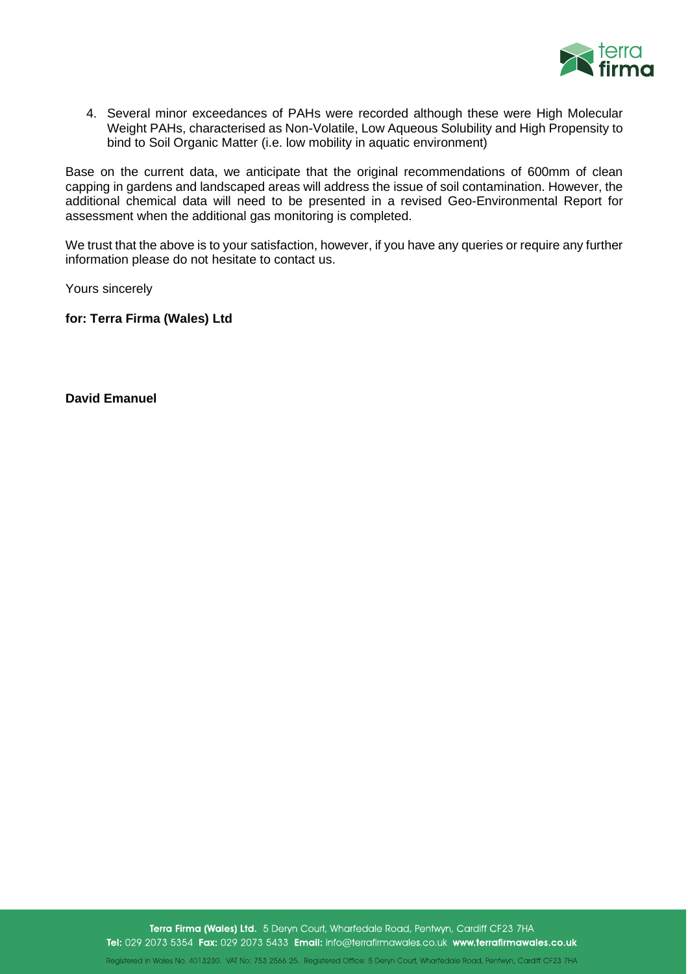

4. Several minor exceedances of PAHs were recorded although these were High Molecular Weight PAHs, characterised as Non-Volatile, Low Aqueous Solubility and High Propensity to bind to Soil Organic Matter (i.e. low mobility in aquatic environment)

Base on the current data, we anticipate that the original recommendations of 600mm of clean capping in gardens and landscaped areas will address the issue of soil contamination. However, the additional chemical data will need to be presented in a revised Geo-Environmental Report for assessment when the additional gas monitoring is completed.

We trust that the above is to your satisfaction, however, if you have any queries or require any further information please do not hesitate to contact us.

Yours sincerely

**for: Terra Firma (Wales) Ltd**

**David Emanuel**

Terra Firma (Wales) Ltd. 5 Deryn Court, Wharfedale Road, Pentwyn, Cardiff CF23 7HA Tel: 029 2073 5354 Fax: 029 2073 5433 Email: info@terrafirmawales.co.uk www.terrafirmawales.co.uk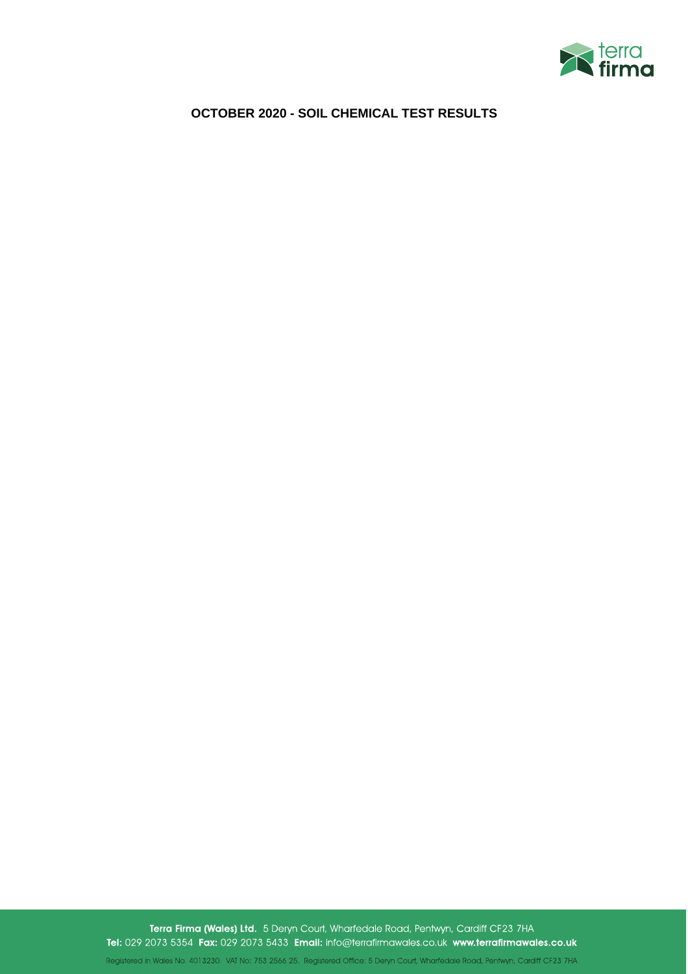

### **OCTOBER 2020 - SOIL CHEMICAL TEST RESULTS**

Terra Firma (Wales) Ltd. 5 Deryn Court, Wharfedale Road, Pentwyn, Cardiff CF23 7HA Tel: 029 2073 5354 Fax: 029 2073 5433 Email: info@terrafirmawales.co.uk www.terrafirmawales.co.uk

Registered in Wales No. 4013230. VAT No: 753 2566 25. Registered Office: 5 Deryn Court, Wharfedale Road, Pentwyn, Cardiff CF23 7HA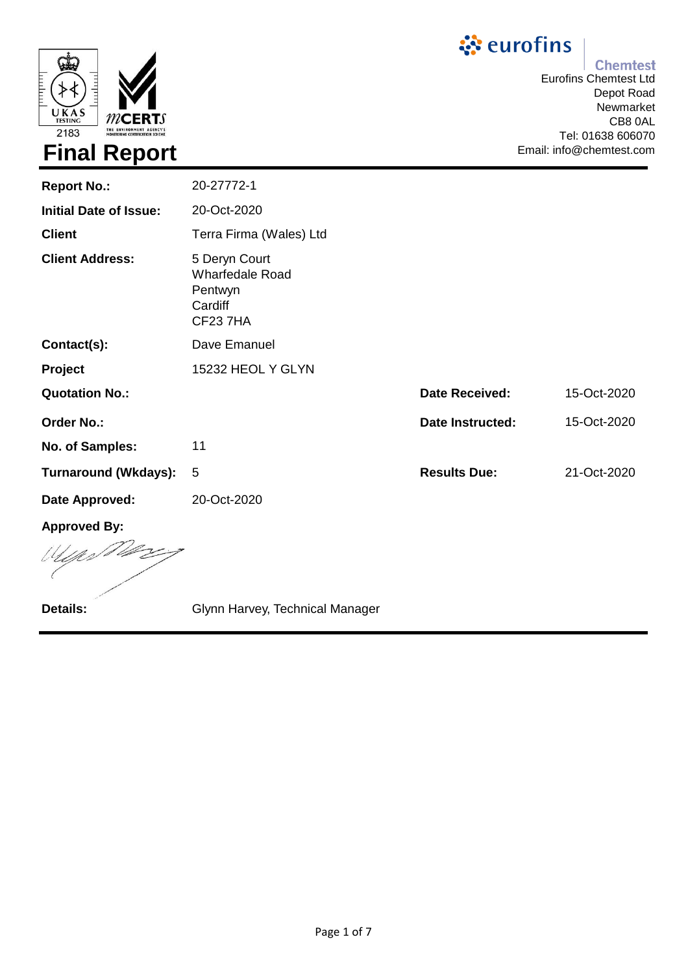# ं eurofins

# **Chemtest**

Eurofins Chemtest Ltd Depot Road Newmarket CB8 0AL Tel: 01638 606070 Email: info@chemtest.com

| <b>Final Report</b>           |                                                                          |                       | <b>IVI. VIUJU UUUU</b><br>Email: info@chemtest.co |
|-------------------------------|--------------------------------------------------------------------------|-----------------------|---------------------------------------------------|
| <b>Report No.:</b>            | 20-27772-1                                                               |                       |                                                   |
| <b>Initial Date of Issue:</b> | 20-Oct-2020                                                              |                       |                                                   |
| <b>Client</b>                 | Terra Firma (Wales) Ltd                                                  |                       |                                                   |
| <b>Client Address:</b>        | 5 Deryn Court<br><b>Wharfedale Road</b><br>Pentwyn<br>Cardiff<br>CF237HA |                       |                                                   |
| Contact(s):                   | Dave Emanuel                                                             |                       |                                                   |
| Project                       | 15232 HEOL Y GLYN                                                        |                       |                                                   |
| <b>Quotation No.:</b>         |                                                                          | <b>Date Received:</b> | 15-Oct-2020                                       |
| <b>Order No.:</b>             |                                                                          | Date Instructed:      | 15-Oct-2020                                       |
| No. of Samples:               | 11                                                                       |                       |                                                   |
| <b>Turnaround (Wkdays):</b>   | 5                                                                        | <b>Results Due:</b>   | 21-Oct-2020                                       |
| Date Approved:                | 20-Oct-2020                                                              |                       |                                                   |
| <b>Approved By:</b>           |                                                                          |                       |                                                   |
| Window                        |                                                                          |                       |                                                   |

 $m$ c THE ENVIRONM

**NCY'S**<br>THEME

2183

Details: **Details:** Glynn Harvey, Technical Manager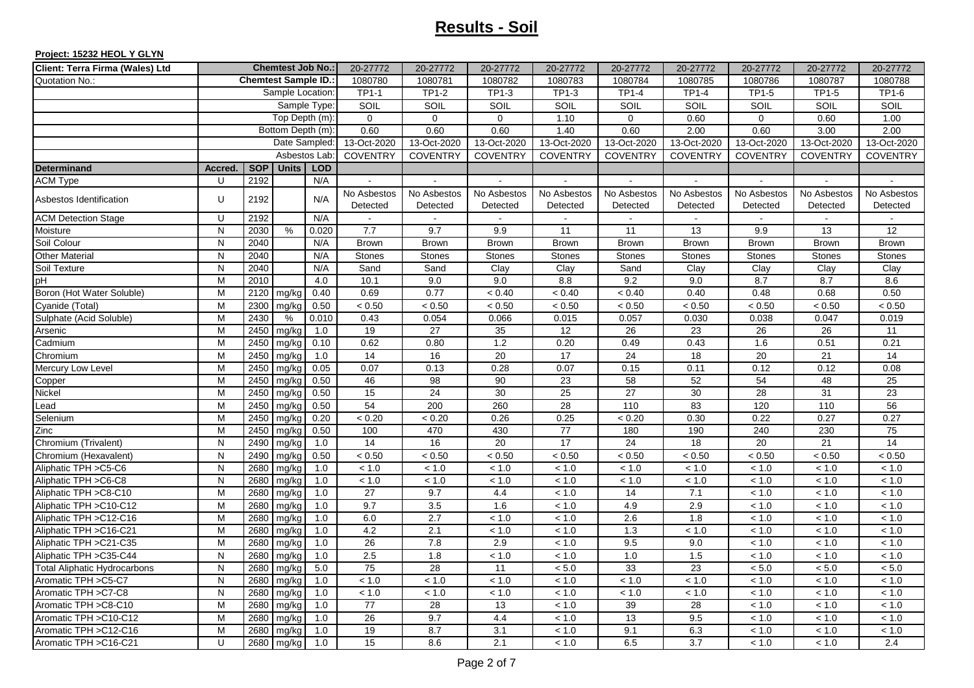# **Results - Soil**

| Client: Terra Firma (Wales) Ltd     | <b>Chemtest Job No.:</b>   |            |                  | 20-27772     | 20-27772                | 20-27772                | 20-27772                | 20-27772                | 20-27772                | 20-27772                | 20-27772                | 20-27772                |                         |
|-------------------------------------|----------------------------|------------|------------------|--------------|-------------------------|-------------------------|-------------------------|-------------------------|-------------------------|-------------------------|-------------------------|-------------------------|-------------------------|
| Quotation No.:                      | <b>Chemtest Sample ID.</b> |            |                  | 1080780      | 1080781                 | 1080782                 | 1080783                 | 1080784                 | 1080785                 | 1080786                 | 1080787                 | 1080788                 |                         |
|                                     | Sample Location:           |            |                  | <b>TP1-1</b> | TP1-2                   | TP1-3                   | $TP1-3$                 | <b>TP1-4</b>            | $TP1-4$                 | $TP1-5$                 | TP1-5                   | TP1-6                   |                         |
|                                     | Sample Type:               |            |                  | SOIL         | SOIL                    | SOIL                    | SOIL                    | SOIL                    | SOIL                    | SOIL                    | SOIL                    | SOIL                    |                         |
|                                     |                            |            | Top Depth (m)    |              | $\mathbf 0$             | $\mathbf 0$             | $\mathbf 0$             | 1.10                    | $\mathbf 0$             | 0.60                    | 0                       | 0.60                    | 1.00                    |
|                                     |                            |            | Bottom Depth (m) |              | 0.60                    | 0.60                    | 0.60                    | 1.40                    | 0.60                    | 2.00                    | 0.60                    | 3.00                    | 2.00                    |
|                                     |                            |            | Date Sampled:    |              | 13-Oct-2020             | 13-Oct-2020             | 13-Oct-2020             | 13-Oct-2020             | 13-Oct-2020             | 13-Oct-2020             | 13-Oct-2020             | 13-Oct-2020             | 13-Oct-2020             |
|                                     |                            |            |                  | Asbestos Lab | <b>COVENTRY</b>         | <b>COVENTRY</b>         | <b>COVENTRY</b>         | <b>COVENTRY</b>         | <b>COVENTRY</b>         | <b>COVENTRY</b>         | <b>COVENTRY</b>         | <b>COVENTRY</b>         | <b>COVENTRY</b>         |
| <b>Determinand</b>                  | <b>Accred</b>              | <b>SOP</b> | Units            | LOD          |                         |                         |                         |                         |                         |                         |                         |                         |                         |
| <b>ACM Type</b>                     | U                          | 2192       |                  | N/A          | $\sim$                  |                         | $\blacksquare$          | $\sim$                  | $\sim$                  |                         |                         |                         |                         |
| Asbestos Identification             | U                          | 2192       |                  | N/A          | No Asbestos<br>Detected | No Asbestos<br>Detected | No Asbestos<br>Detected | No Asbestos<br>Detected | No Asbestos<br>Detected | No Asbestos<br>Detected | No Asbestos<br>Detected | No Asbestos<br>Detected | No Asbestos<br>Detected |
| <b>ACM Detection Stage</b>          | U                          | 2192       |                  | N/A          |                         |                         |                         |                         |                         |                         |                         |                         |                         |
| Moisture                            | N                          | 2030       | $\%$             | 0.020        | 7.7                     | 9.7                     | 9.9                     | 11                      | 11                      | 13                      | 9.9                     | 13                      | 12                      |
| Soil Colour                         | N                          | 2040       |                  | N/A          | <b>Brown</b>            | <b>Brown</b>            | <b>Brown</b>            | <b>Brown</b>            | <b>Brown</b>            | <b>Brown</b>            | <b>Brown</b>            | <b>Brown</b>            | Brown                   |
| <b>Other Material</b>               | ${\sf N}$                  | 2040       |                  | N/A          | Stones                  | Stones                  | <b>Stones</b>           | Stones                  | Stones                  | Stones                  | Stones                  | Stones                  | <b>Stones</b>           |
| Soil Texture                        | N                          | 2040       |                  | N/A          | Sand                    | Sand                    | Clay                    | Clay                    | Sand                    | Clay                    | Clay                    | Clay                    | Clay                    |
| pH                                  | M                          | 2010       |                  | 4.0          | 10.1                    | 9.0                     | 9.0                     | 8.8                     | 9.2                     | 9.0                     | 8.7                     | 8.7                     | 8.6                     |
| Boron (Hot Water Soluble)           | M                          | 2120       | mg/kg            | 0.40         | 0.69                    | 0.77                    | < 0.40                  | < 0.40                  | < 0.40                  | 0.40                    | 0.48                    | 0.68                    | 0.50                    |
| Cyanide (Total)                     | M                          | 2300       | mg/kg            | 0.50         | < 0.50                  | < 0.50                  | < 0.50                  | < 0.50                  | < 0.50                  | < 0.50                  | < 0.50                  | < 0.50                  | < 0.50                  |
| Sulphate (Acid Soluble)             | M                          | 2430       | %                | 0.010        | 0.43                    | 0.054                   | 0.066                   | 0.015                   | 0.057                   | 0.030                   | 0.038                   | 0.047                   | 0.019                   |
| Arsenic                             | M                          | 2450       | mg/kg            | 1.0          | 19                      | 27                      | 35                      | 12                      | 26                      | 23                      | 26                      | 26                      | 11                      |
| Cadmium                             | M                          | 2450       | mg/kg            | 0.10         | 0.62                    | 0.80                    | 1.2                     | 0.20                    | 0.49                    | 0.43                    | 1.6                     | 0.51                    | 0.21                    |
| Chromium                            | М                          | 2450       | mg/kg            | 1.0          | 14                      | 16                      | 20                      | 17                      | 24                      | 18                      | 20                      | 21                      | 14                      |
| Mercury Low Level                   | M                          | 2450       | mg/kg            | 0.05         | 0.07                    | 0.13                    | 0.28                    | 0.07                    | 0.15                    | 0.11                    | 0.12                    | 0.12                    | 0.08                    |
| Copper                              | M                          | 2450       | mg/kg            | 0.50         | 46                      | 98                      | 90                      | 23                      | 58                      | 52                      | 54                      | 48                      | 25                      |
| Nickel                              | M                          | 2450       | mg/kg            | 0.50         | 15                      | 24                      | 30                      | 25                      | $\overline{27}$         | 30                      | 28                      | 31                      | $\overline{23}$         |
| Lead                                | M                          | 2450       | mg/kg            | 0.50         | 54                      | 200                     | 260                     | 28                      | 110                     | 83                      | 120                     | 110                     | 56                      |
| Selenium                            | M                          | 2450       | mg/kg            | 0.20         | < 0.20                  | < 0.20                  | 0.26                    | 0.25                    | < 0.20                  | 0.30                    | 0.22                    | 0.27                    | 0.27                    |
| Zinc                                | M                          | 2450       | mg/kg            | 0.50         | 100                     | 470                     | 430                     | 77                      | 180                     | 190                     | 240                     | 230                     | 75                      |
| Chromium (Trivalent)                | N                          | 2490       | mg/kg            | 1.0          | 14                      | 16                      | 20                      | 17                      | 24                      | 18                      | 20                      | 21                      | 14                      |
| Chromium (Hexavalent)               | N                          | 2490       | mg/kg            | 0.50         | < 0.50                  | < 0.50                  | < 0.50                  | < 0.50                  | $< 0.50$                | < 0.50                  | < 0.50                  | < 0.50                  | < 0.50                  |
| Aliphatic TPH >C5-C6                | N                          | 2680       | mg/kg            | 1.0          | < 1.0                   | < 1.0                   | < 1.0                   | < 1.0                   | < 1.0                   | < 1.0                   | < 1.0                   | < 1.0                   | < 1.0                   |
| Aliphatic TPH >C6-C8                | N                          | 2680       | mg/kg            | 1.0          | < 1.0                   | < 1.0                   | < 1.0                   | < 1.0                   | < 1.0                   | < 1.0                   | < 1.0                   | < 1.0                   | < 1.0                   |
| Aliphatic TPH > C8-C10              | M                          | 2680       | mg/kg            | 1.0          | 27                      | 9.7                     | 4.4                     | < 1.0                   | 14                      | 7.1                     | < 1.0                   | < 1.0                   | < 1.0                   |
| Aliphatic TPH >C10-C12              | М                          | 2680       | mg/kg            | 1.0          | 9.7                     | 3.5                     | 1.6                     | < 1.0                   | 4.9                     | 2.9                     | < 1.0                   | < 1.0                   | < 1.0                   |
| Aliphatic TPH >C12-C16              | M                          | 2680       | mg/kg            | 1.0          | 6.0                     | 2.7                     | < 1.0                   | < 1.0                   | 2.6                     | 1.8                     | < 1.0                   | < 1.0                   | < 1.0                   |
| Aliphatic TPH > C16-C21             | M                          | 2680       | mg/kg            | 1.0          | 4.2                     | 2.1                     | < 1.0                   | < 1.0                   | 1.3                     | < 1.0                   | < 1.0                   | < 1.0                   | < 1.0                   |
| Aliphatic TPH > C21-C35             | M                          | 2680       | mg/kg            | 1.0          | $\overline{26}$         | 7.8                     | 2.9                     | < 1.0                   | 9.5                     | 9.0                     | < 1.0                   | < 1.0                   | < 1.0                   |
| Aliphatic TPH > C35-C44             | $\mathsf{N}$               | 2680       | mg/kg            | 1.0          | 2.5                     | 1.8                     | < 1.0                   | < 1.0                   | 1.0                     | 1.5                     | < 1.0                   | < 1.0                   | < 1.0                   |
| <b>Total Aliphatic Hydrocarbons</b> | N                          | 2680       | mg/kg            | 5.0          | 75                      | 28                      | 11                      | < 5.0                   | 33                      | 23                      | < 5.0                   | < 5.0                   | < 5.0                   |
| Aromatic TPH >C5-C7                 | N                          | 2680       | mg/kg            | 1.0          | $<1.0$                  | < 1.0                   | < 1.0                   | < 1.0                   | < 1.0                   | < 1.0                   | < 1.0                   | < 1.0                   | $< 1.0$                 |
| Aromatic TPH >C7-C8                 | ${\sf N}$                  | 2680       | mg/kg            | 1.0          | < 1.0                   | < 1.0                   | < 1.0                   | < 1.0                   | < 1.0                   | < 1.0                   | < 1.0                   | < 1.0                   | < 1.0                   |
| Aromatic TPH >C8-C10                | M                          | 2680       | mg/kg            | 1.0          | 77                      | $\overline{28}$         | 13                      | < 1.0                   | 39                      | 28                      | < 1.0                   | < 1.0                   | < 1.0                   |
| Aromatic TPH >C10-C12               | M                          | 2680       | mg/kg            | 1.0          | 26                      | 9.7                     | 4.4                     | < 1.0                   | 13                      | 9.5                     | < 1.0                   | < 1.0                   | < 1.0                   |
| Aromatic TPH > C12-C16              | M                          | 2680       | mg/kg            | 1.0          | 19                      | 8.7                     | 3.1                     | < 1.0                   | 9.1                     | 6.3                     | < 1.0                   | < 1.0                   | < 1.0                   |
| Aromatic TPH > C16-C21              | $\mathbf{U}$               | 2680       | mg/kg            | 1.0          | 15                      | 8.6                     | 2.1                     | < 1.0                   | 6.5                     | 3.7                     | < 1.0                   | < 1.0                   | 2.4                     |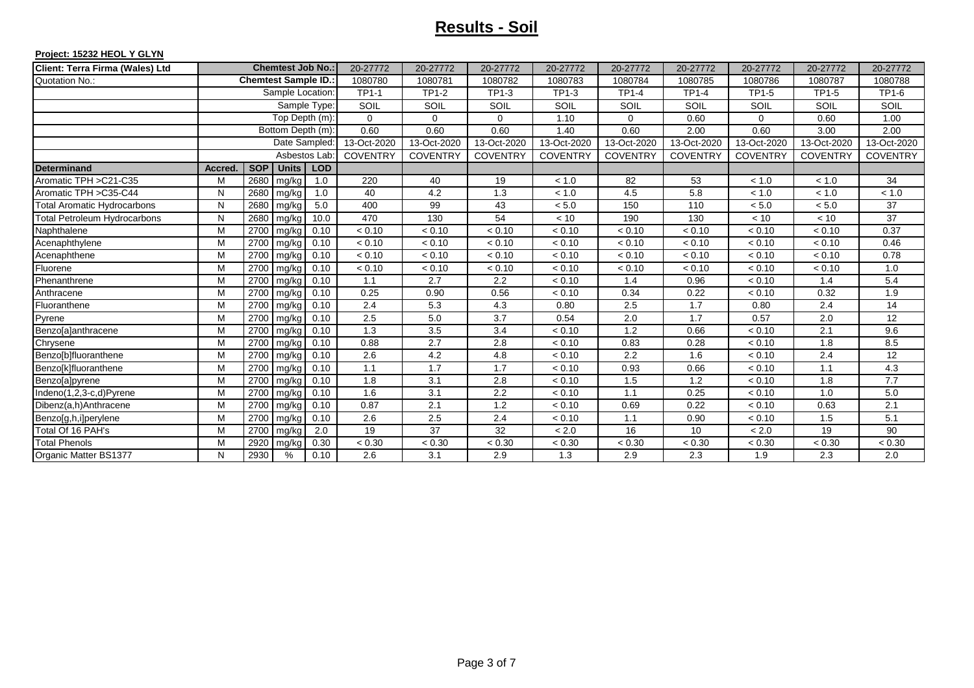# **Results - Soil**

| Client: Terra Firma (Wales) Ltd     | <b>Chemtest Job No.:</b> |                  |                             | 20-27772     | 20-27772        | 20-27772        | 20-27772        | 20-27772        | 20-27772        | 20-27772          | 20-27772        | 20-27772        |                 |
|-------------------------------------|--------------------------|------------------|-----------------------------|--------------|-----------------|-----------------|-----------------|-----------------|-----------------|-------------------|-----------------|-----------------|-----------------|
| Quotation No.:                      |                          |                  | <b>Chemtest Sample ID.:</b> |              | 1080780         | 1080781         | 1080782         | 1080783         | 1080784         | 1080785           | 1080786         | 1080787         | 1080788         |
|                                     |                          | Sample Location: |                             |              | <b>TP1-1</b>    | <b>TP1-2</b>    | TP1-3           | TP1-3           | <b>TP1-4</b>    | <b>TP1-4</b>      | TP1-5           | <b>TP1-5</b>    | TP1-6           |
|                                     |                          |                  |                             | Sample Type: | SOIL            | SOIL            | SOIL            | SOIL            | SOIL            | SOIL              | SOIL            | SOIL            | SOIL            |
|                                     |                          |                  | Top Depth (m):              |              | $\Omega$        | $\Omega$        | $\mathbf{0}$    | 1.10            | $\Omega$        | 0.60              | 0               | 0.60            | 1.00            |
|                                     |                          |                  | Bottom Depth (m):           |              | 0.60            | 0.60            | 0.60            | 1.40            | 0.60            | 2.00              | 0.60            | 3.00            | 2.00            |
|                                     |                          |                  | Date Sampled:               |              | 13-Oct-2020     | 13-Oct-2020     | 13-Oct-2020     | 13-Oct-2020     | 13-Oct-2020     | 13-Oct-2020       | 13-Oct-2020     | 13-Oct-2020     | 13-Oct-2020     |
|                                     |                          |                  | Asbestos Lab                |              | <b>COVENTRY</b> | <b>COVENTRY</b> | <b>COVENTRY</b> | <b>COVENTRY</b> | <b>COVENTRY</b> | <b>COVENTRY</b>   | <b>COVENTRY</b> | <b>COVENTRY</b> | COVENTRY        |
| Determinand                         | Accred.                  | <b>SOP</b>       |                             | Units   LOD  |                 |                 |                 |                 |                 |                   |                 |                 |                 |
| Aromatic TPH > C21-C35              | м                        | 2680             | mg/kg                       | 1.0          | 220             | 40              | 19              | < 1.0           | 82              | 53                | < 1.0           | < 1.0           | 34              |
| Aromatic TPH > C35-C44              | N                        | 2680             | mg/kg                       | 1.0          | 40              | 4.2             | 1.3             | < 1.0           | 4.5             | 5.8               | < 1.0           | < 1.0           | < 1.0           |
| <b>Total Aromatic Hydrocarbons</b>  | N                        | 2680             | mg/kg                       | 5.0          | 400             | 99              | 43              | $< 5.0$         | 150             | $\frac{110}{110}$ | $< 5.0$         | < 5.0           | 37              |
| <b>Total Petroleum Hydrocarbons</b> | N                        | 2680             | mg/kg                       | 10.0         | 470             | 130             | 54              | < 10            | 190             | 130               | < 10            | < 10            | 37              |
| Naphthalene                         | M                        | 2700             | $mg/kg$ 0.10                |              | < 0.10          | < 0.10          | < 0.10          | < 0.10          | < 0.10          | < 0.10            | < 0.10          | < 0.10          | 0.37            |
| Acenaphthylene                      | M                        | 2700             | mg/kg                       | 0.10         | < 0.10          | < 0.10          | < 0.10          | < 0.10          | < 0.10          | < 0.10            | < 0.10          | < 0.10          | 0.46            |
| Acenaphthene                        | м                        | 2700             | mg/kg                       | 0.10         | < 0.10          | < 0.10          | < 0.10          | < 0.10          | < 0.10          | < 0.10            | < 0.10          | < 0.10          | 0.78            |
| Fluorene                            | M                        | 2700             | mg/kg                       | 0.10         | < 0.10          | < 0.10          | < 0.10          | < 0.10          | < 0.10          | < 0.10            | < 0.10          | < 0.10          | 1.0             |
| Phenanthrene                        | M                        | 2700             | mg/kg 0.10                  |              | 1.1             | 2.7             | 2.2             | < 0.10          | 1.4             | 0.96              | < 0.10          | 1.4             | 5.4             |
| Anthracene                          | M                        | 2700             | mg/kg                       | 0.10         | 0.25            | 0.90            | 0.56            | < 0.10          | 0.34            | 0.22              | < 0.10          | 0.32            | 1.9             |
| Fluoranthene                        | M                        | 2700             | mg/kg                       | 0.10         | 2.4             | 5.3             | 4.3             | 0.80            | 2.5             | 1.7               | 0.80            | 2.4             | 14              |
| Pyrene                              | M                        | 2700             | mg/kg                       | 0.10         | 2.5             | 5.0             | 3.7             | 0.54            | 2.0             | 1.7               | 0.57            | 2.0             | 12              |
| Benzo[a]anthracene                  | M                        | 2700             | mg/kg                       | 0.10         | 1.3             | 3.5             | 3.4             | < 0.10          | 1.2             | 0.66              | < 0.10          | 2.1             | 9.6             |
| Chrysene                            | M                        | 2700             | mg/kg                       | 0.10         | 0.88            | 2.7             | 2.8             | < 0.10          | 0.83            | 0.28              | < 0.10          | 1.8             | 8.5             |
| Benzo[b]fluoranthene                | M                        | 2700             | mg/kg                       | 0.10         | 2.6             | 4.2             | 4.8             | < 0.10          | 2.2             | 1.6               | < 0.10          | 2.4             | $\overline{12}$ |
| Benzo[k]fluoranthene                | M                        | 2700             | mg/kg                       | 0.10         | 1.1             | 1.7             | 1.7             | < 0.10          | 0.93            | 0.66              | < 0.10          | 1.1             | 4.3             |
| Benzo[a]pyrene                      | M                        | 2700             | mg/kg                       | 0.10         | 1.8             | 3.1             | 2.8             | < 0.10          | 1.5             | 1.2               | < 0.10          | 1.8             | 7.7             |
| Indeno(1,2,3-c,d)Pyrene             | M                        | 2700             | mg/kg 0.10                  |              | 1.6             | 3.1             | 2.2             | < 0.10          | 1.1             | 0.25              | < 0.10          | 1.0             | 5.0             |
| Dibenz(a,h)Anthracene               | M                        | 2700             | mg/kg                       | 0.10         | 0.87            | 2.1             | 1.2             | < 0.10          | 0.69            | 0.22              | < 0.10          | 0.63            | 2.1             |
| Benzo[g,h,i]perylene                | M                        | 2700             | mg/kg                       | 0.10         | 2.6             | 2.5             | 2.4             | < 0.10          | 1.1             | 0.90              | < 0.10          | 1.5             | 5.1             |
| Total Of 16 PAH's                   | M                        | 2700             | mg/kg                       | 2.0          | 19              | 37              | 32              | < 2.0           | 16              | 10                | < 2.0           | 19              | 90              |
| <b>Total Phenols</b>                | M                        | 2920             | mg/kg                       | 0.30         | < 0.30          | < 0.30          | < 0.30          | < 0.30          | < 0.30          | < 0.30            | < 0.30          | < 0.30          | < 0.30          |
| Organic Matter BS1377               | И                        | 2930             | %                           | 0.10         | 2.6             | 3.1             | 2.9             | 1.3             | 2.9             | 2.3               | 1.9             | 2.3             | 2.0             |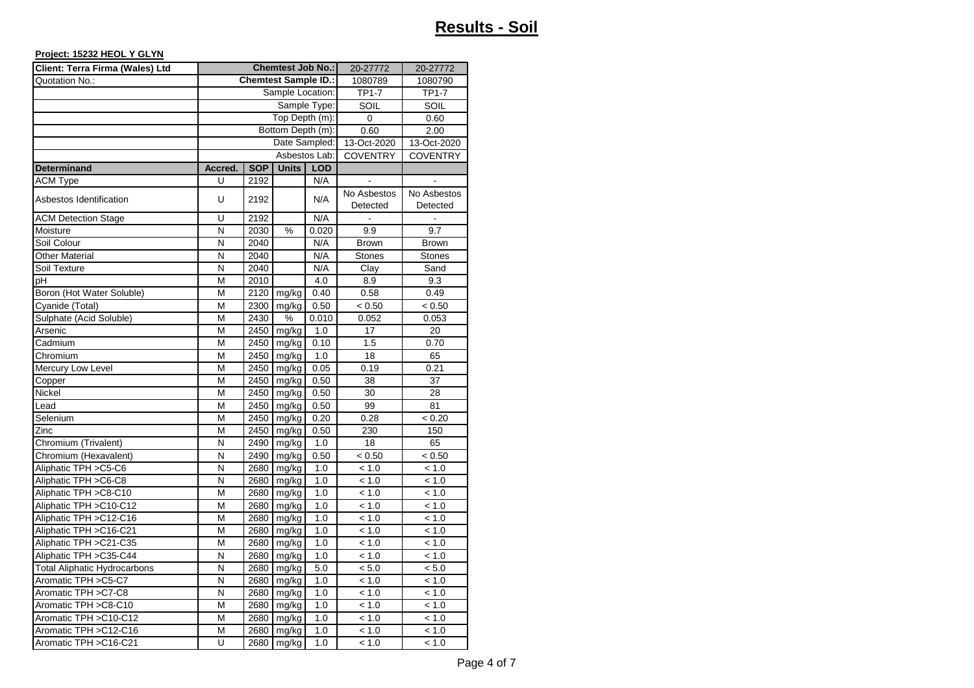| Client: Terra Firma (Wales) Ltd     |         |            | <b>Chemtest Job No.:</b>    |               | 20-27772                | 20-27772                |
|-------------------------------------|---------|------------|-----------------------------|---------------|-------------------------|-------------------------|
| Quotation No.:                      |         |            | <b>Chemtest Sample ID.:</b> | 1080789       | 1080790                 |                         |
|                                     |         |            | Sample Location:            | TP1-7         | TP1-7                   |                         |
|                                     |         |            |                             | Sample Type:  | SOIL                    | SOIL                    |
|                                     |         |            | Top Depth (m):              |               | 0                       | 0.60                    |
|                                     |         |            | Bottom Depth (m):           |               | 0.60                    | 2.00                    |
|                                     |         |            | Date Sampled:               |               | 13-Oct-2020             | 13-Oct-2020             |
|                                     |         |            |                             | Asbestos Lab: | <b>COVENTRY</b>         | <b>COVENTRY</b>         |
| <b>Determinand</b>                  | Accred. | <b>SOP</b> | Units                       | <b>LOD</b>    |                         |                         |
| <b>ACM Type</b>                     | U       | 2192       |                             | N/A           | $\overline{a}$          |                         |
| Asbestos Identification             | U       | 2192       |                             | N/A           | No Asbestos<br>Detected | No Asbestos<br>Detected |
| <b>ACM Detection Stage</b>          | U       | 2192       |                             | N/A           |                         |                         |
| Moisture                            | N       | 2030       | %                           | 0.020         | 9.9                     | 9.7                     |
| Soil Colour                         | N       | 2040       |                             | N/A           | <b>Brown</b>            | <b>Brown</b>            |
| <b>Other Material</b>               | N       | 2040       |                             | N/A           | <b>Stones</b>           | <b>Stones</b>           |
| Soil Texture                        | N       | 2040       |                             | N/A           | Clay                    | Sand                    |
| рH                                  | M       | 2010       |                             | 4.0           | 8.9                     | 9.3                     |
| Boron (Hot Water Soluble)           | M       | 2120       | mg/kg                       | 0.40          | 0.58                    | 0.49                    |
| Cyanide (Total)                     | M       | 2300       | mg/kg                       | 0.50          | < 0.50                  | < 0.50                  |
| Sulphate (Acid Soluble)             | M       | 2430       | %                           | 0.010         | 0.052                   | 0.053                   |
| Arsenic                             | M       | 2450       | mg/kg                       | 1.0           | 17                      | 20                      |
| Cadmium                             | M       | 2450       | mg/kg                       | 0.10          | 1.5                     | 0.70                    |
| Chromium                            | M       | 2450       | mg/kg                       | 1.0           | 18                      | 65                      |
| Mercury Low Level                   | M       | 2450       | mg/kg                       | 0.05          | 0.19                    | 0.21                    |
| Copper                              | M       | 2450       | mg/kg                       | 0.50          | 38                      | 37                      |
| Nickel                              | M       | 2450       | mg/kg                       | 0.50          | 30                      | 28                      |
| Lead                                | M       |            | $2450$ mg/kg                | 0.50          | 99                      | 81                      |
| Selenium                            | M       | 2450       | mg/kg                       | 0.20          | 0.28                    | < 0.20                  |
| Zinc                                | M       | 2450       | mg/kg                       | 0.50          | 230                     | 150                     |
| Chromium (Trivalent)                | N       | 2490       | mg/kg                       | 1.0           | 18                      | 65                      |
| Chromium (Hexavalent)               | N       | 2490       | mg/kg                       | 0.50          | < 0.50                  | < 0.50                  |
| Aliphatic TPH > C5-C6               | N       | 2680       | mg/kg                       | 1.0           | < 1.0                   | < 1.0                   |
| Aliphatic TPH >C6-C8                | N       | 2680       | mg/kg                       | 1.0           | < 1.0                   | < 1.0                   |
| Aliphatic TPH > C8-C10              | M       |            | 2680 mg/kg                  | 1.0           | < 1.0                   | < 1.0                   |
| Aliphatic TPH > C10-C12             | M       | 2680       | mg/kg                       | 1.0           | < 1.0                   | < 1.0                   |
| Aliphatic TPH > C12-C16             | M       | 2680       | mg/kg                       | 1.0           | < 1.0                   | < 1.0                   |
| Aliphatic TPH > C16-C21             | M       | 2680       | mg/kg                       | 1.0           | < 1.0                   | < 1.0                   |
| Aliphatic TPH >C21-C35              | M       | 2680       | mg/kg                       | 1.0           | < 1.0                   | < 1.0                   |
| Aliphatic TPH >C35-C44              | N       | 2680       | mg/kg                       | 1.0           | < 1.0                   | < 1.0                   |
| <b>Total Aliphatic Hydrocarbons</b> | N       | 2680       | mg/kg                       | 5.0           | < 5.0                   | < 5.0                   |
| Aromatic TPH >C5-C7                 | N       | 2680       | mg/kg                       | 1.0           | < 1.0                   | < 1.0                   |
| Aromatic TPH > C7-C8                | N       | 2680       | mg/kg                       | 1.0           | < 1.0                   | < 1.0                   |
| Aromatic TPH > C8-C10               | M       | 2680       | mg/kg                       | 1.0           | < 1.0                   | < 1.0                   |
| Aromatic TPH > C10-C12              | M       | 2680       | mg/kg                       | 1.0           | < 1.0                   | < 1.0                   |
| Aromatic TPH > C12-C16              | M       | 2680       | mg/kg                       | 1.0           | < 1.0                   | < 1.0                   |
| Aromatic TPH > C16-C21              | U       | 2680       | mg/kg                       | 1.0           | < 1.0                   | < 1.0                   |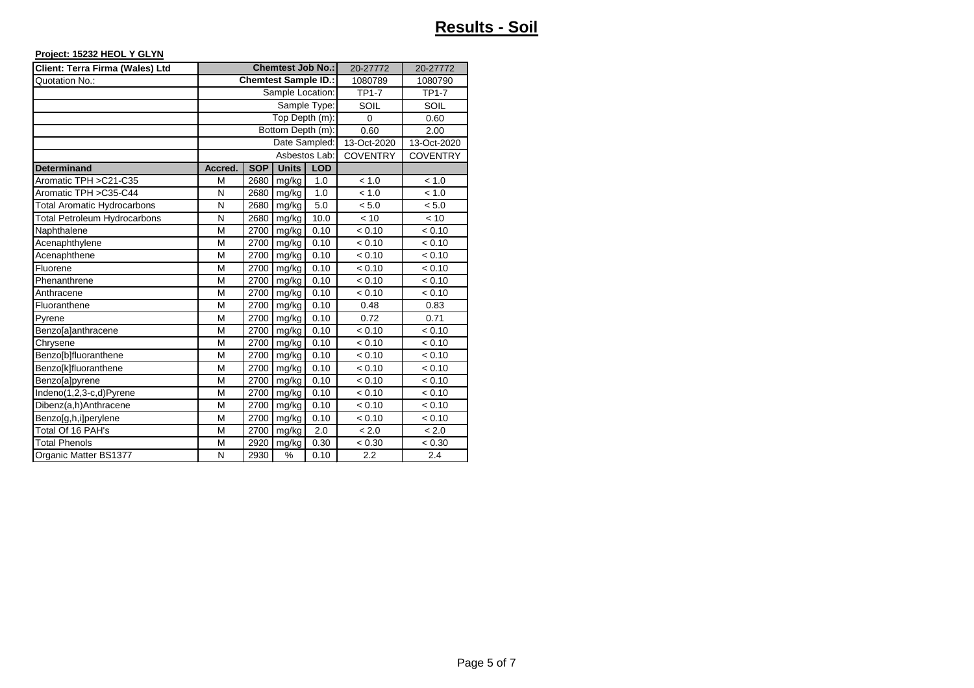| Client: Terra Firma (Wales) Ltd     |         |            | Chemtest Job No.:           |              | 20-27772        | 20-27772        |
|-------------------------------------|---------|------------|-----------------------------|--------------|-----------------|-----------------|
| Quotation No.:                      |         |            | <b>Chemtest Sample ID.:</b> |              | 1080789         | 1080790         |
|                                     |         |            | Sample Location:            |              | $TPT-7$         | <b>TP1-7</b>    |
|                                     |         |            |                             | Sample Type: | SOIL            | SOIL            |
|                                     |         |            | Top Depth (m):              |              | $\Omega$        | 0.60            |
|                                     |         |            | Bottom Depth (m):           |              | 0.60            | 2.00            |
|                                     |         |            | Date Sampled:               |              | 13-Oct-2020     | 13-Oct-2020     |
|                                     |         |            | Asbestos Lab:               |              | <b>COVENTRY</b> | <b>COVENTRY</b> |
| <b>Determinand</b>                  | Accred. | <b>SOP</b> | <b>Units</b>                | <b>LOD</b>   |                 |                 |
| Aromatic TPH >C21-C35               | м       | 2680       | mg/kg                       | 1.0          | < 1.0           | < 1.0           |
| Aromatic TPH >C35-C44               | N       | 2680       | mg/kg                       | 1.0          | < 1.0           | < 1.0           |
| <b>Total Aromatic Hydrocarbons</b>  | N       | 2680       | mg/kg                       | 5.0          | < 5.0           | < 5.0           |
| <b>Total Petroleum Hydrocarbons</b> | N       | 2680       | mg/kg                       | 10.0         | < 10            | < 10            |
| Naphthalene                         | M       | 2700       | mg/kg                       | 0.10         | < 0.10          | < 0.10          |
| Acenaphthylene                      | M       | 2700       | mg/kg                       | 0.10         | < 0.10          | < 0.10          |
| Acenaphthene                        | M       | 2700       | mg/kg                       | 0.10         | < 0.10          | < 0.10          |
| Fluorene                            | M       | 2700       | mg/kg                       | 0.10         | < 0.10          | < 0.10          |
| Phenanthrene                        | M       | 2700       | mg/kg                       | 0.10         | < 0.10          | < 0.10          |
| Anthracene                          | M       | 2700       | mg/kg                       | 0.10         | < 0.10          | < 0.10          |
| Fluoranthene                        | M       | 2700       | mg/kg                       | 0.10         | 0.48            | 0.83            |
| Pyrene                              | M       | 2700       | mg/kg                       | 0.10         | 0.72            | 0.71            |
| Benzo[a]anthracene                  | M       | 2700       | mg/kg                       | 0.10         | < 0.10          | < 0.10          |
| Chrysene                            | M       | 2700       | mg/kg                       | 0.10         | < 0.10          | < 0.10          |
| Benzo[b]fluoranthene                | M       | 2700       | mg/kg                       | 0.10         | < 0.10          | < 0.10          |
| Benzo[k]fluoranthene                | M       | 2700       | mg/kg                       | 0.10         | < 0.10          | < 0.10          |
| Benzo[a]pyrene                      | M       | 2700       | mg/kg                       | 0.10         | < 0.10          | < 0.10          |
| Indeno(1,2,3-c,d)Pyrene             | M       | 2700       | mg/kg                       | 0.10         | < 0.10          | < 0.10          |
| Dibenz(a,h)Anthracene               | M       | 2700       | mg/kg                       | 0.10         | < 0.10          | < 0.10          |
| Benzo[g,h,i]perylene                | M       | 2700       | mg/kg                       | 0.10         | < 0.10          | < 0.10          |
| Total Of 16 PAH's                   | M       | 2700       | mg/kg                       | 2.0          | < 2.0           | < 2.0           |
| <b>Total Phenols</b>                | M       | 2920       | mg/kg                       | 0.30         | < 0.30          | < 0.30          |
| Organic Matter BS1377               | N       | 2930       | %                           | 0.10         | 2.2             | 2.4             |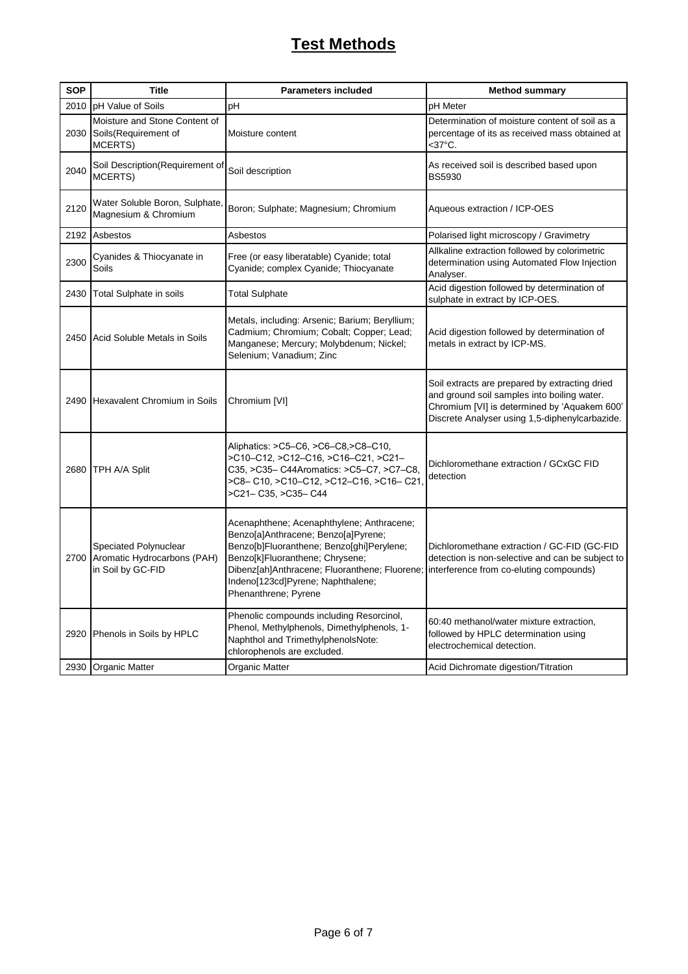# **Test Methods**

| <b>SOP</b> | <b>Title</b>                                                              | <b>Parameters included</b>                                                                                                                                                                                                                                                                                             | <b>Method summary</b>                                                                                                                                                                           |
|------------|---------------------------------------------------------------------------|------------------------------------------------------------------------------------------------------------------------------------------------------------------------------------------------------------------------------------------------------------------------------------------------------------------------|-------------------------------------------------------------------------------------------------------------------------------------------------------------------------------------------------|
| 2010       | pH Value of Soils                                                         | pH                                                                                                                                                                                                                                                                                                                     | pH Meter                                                                                                                                                                                        |
| 2030       | Moisture and Stone Content of<br>Soils (Requirement of<br>MCERTS)         | Moisture content                                                                                                                                                                                                                                                                                                       | Determination of moisture content of soil as a<br>percentage of its as received mass obtained at<br><37°C.                                                                                      |
| 2040       | Soil Description(Requirement of<br>MCERTS)                                | Soil description                                                                                                                                                                                                                                                                                                       | As received soil is described based upon<br>BS5930                                                                                                                                              |
| 2120       | Water Soluble Boron, Sulphate,<br>Magnesium & Chromium                    | Boron; Sulphate; Magnesium; Chromium                                                                                                                                                                                                                                                                                   | Aqueous extraction / ICP-OES                                                                                                                                                                    |
| 2192       | Asbestos                                                                  | Asbestos                                                                                                                                                                                                                                                                                                               | Polarised light microscopy / Gravimetry                                                                                                                                                         |
| 2300       | Cyanides & Thiocyanate in<br>Soils                                        | Free (or easy liberatable) Cyanide; total<br>Cyanide; complex Cyanide; Thiocyanate                                                                                                                                                                                                                                     | Allkaline extraction followed by colorimetric<br>determination using Automated Flow Injection<br>Analyser.                                                                                      |
| 2430       | Total Sulphate in soils                                                   | <b>Total Sulphate</b>                                                                                                                                                                                                                                                                                                  | Acid digestion followed by determination of<br>sulphate in extract by ICP-OES.                                                                                                                  |
| 2450       | Acid Soluble Metals in Soils                                              | Metals, including: Arsenic; Barium; Beryllium;<br>Cadmium; Chromium; Cobalt; Copper; Lead;<br>Manganese; Mercury; Molybdenum; Nickel;<br>Selenium; Vanadium; Zinc                                                                                                                                                      | Acid digestion followed by determination of<br>metals in extract by ICP-MS.                                                                                                                     |
| 2490       | Hexavalent Chromium in Soils                                              | Chromium [VI]                                                                                                                                                                                                                                                                                                          | Soil extracts are prepared by extracting dried<br>and ground soil samples into boiling water.<br>Chromium [VI] is determined by 'Aquakem 600'<br>Discrete Analyser using 1,5-diphenylcarbazide. |
| 2680       | <b>TPH A/A Split</b>                                                      | Aliphatics: >C5-C6, >C6-C8,>C8-C10,<br>>C10–C12, >C12–C16, >C16–C21, >C21–<br>C35, >C35- C44Aromatics: >C5-C7, >C7-C8,<br>>C8-C10, >C10-C12, >C12-C16, >C16-C21,<br>>C21- C35, >C35- C44                                                                                                                               | Dichloromethane extraction / GCxGC FID<br>detection                                                                                                                                             |
| 2700       | Speciated Polynuclear<br>Aromatic Hydrocarbons (PAH)<br>in Soil by GC-FID | Acenaphthene; Acenaphthylene; Anthracene;<br>Benzo[a]Anthracene; Benzo[a]Pyrene;<br>Benzo[b]Fluoranthene; Benzo[ghi]Perylene;<br>Benzo[k]Fluoranthene; Chrysene;<br>Dibenz[ah]Anthracene; Fluoranthene; Fluorene; interference from co-eluting compounds)<br>Indeno[123cd]Pyrene; Naphthalene;<br>Phenanthrene; Pyrene | Dichloromethane extraction / GC-FID (GC-FID<br>detection is non-selective and can be subject to                                                                                                 |
| 2920       | Phenols in Soils by HPLC                                                  | Phenolic compounds including Resorcinol,<br>Phenol, Methylphenols, Dimethylphenols, 1-<br>Naphthol and TrimethylphenolsNote:<br>chlorophenols are excluded.                                                                                                                                                            | 60:40 methanol/water mixture extraction,<br>followed by HPLC determination using<br>electrochemical detection.                                                                                  |
|            | 2930 Organic Matter                                                       | <b>Organic Matter</b>                                                                                                                                                                                                                                                                                                  | Acid Dichromate digestion/Titration                                                                                                                                                             |